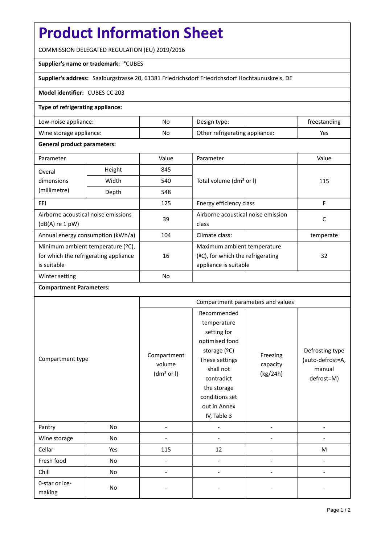# **Product Information Sheet**

COMMISSION DELEGATED REGULATION (EU) 2019/2016

## **Supplier's name or trademark:** °CUBES

**Supplier's address:** Saalburgstrasse 20, 61381 Friedrichsdorf Friedrichsdorf Hochtaunuskreis, DE

#### **Model identifier:** CUBES CC 203

## **Type of refrigerating appliance:**

| Low-noise appliance:    | No | Design type:                   | treestanding |
|-------------------------|----|--------------------------------|--------------|
| Wine storage appliance: | No | Other refrigerating appliance: | Yes          |

## **General product parameters:**

| Parameter                                                |        | Value     | Parameter                            | Value     |  |
|----------------------------------------------------------|--------|-----------|--------------------------------------|-----------|--|
| Overal                                                   | Height | 845       |                                      | 115       |  |
| dimensions                                               | Width  | 540       | Total volume (dm <sup>3</sup> or I)  |           |  |
| (millimetre)                                             | Depth  | 548       |                                      |           |  |
| EEI                                                      |        | 125       | Energy efficiency class              | F         |  |
| Airborne acoustical noise emissions<br>$(dB(A)$ re 1 pW) |        | 39        | Airborne acoustical noise emission   | C         |  |
|                                                          |        |           | class                                |           |  |
| Annual energy consumption (kWh/a)                        |        | 104       | Climate class:                       | temperate |  |
| Minimum ambient temperature (°C),                        |        |           | Maximum ambient temperature          |           |  |
| for which the refrigerating appliance                    |        | 16        | $(2C)$ , for which the refrigerating | 32        |  |
| is suitable                                              |        |           | appliance is suitable                |           |  |
| Winter setting                                           |        | <b>No</b> |                                      |           |  |

#### **Compartment Parameters:**

| Compartment type         |     | Compartment parameters and values               |                                                                                                                                                                                          |                                  |                                                             |
|--------------------------|-----|-------------------------------------------------|------------------------------------------------------------------------------------------------------------------------------------------------------------------------------------------|----------------------------------|-------------------------------------------------------------|
|                          |     | Compartment<br>volume<br>(dm <sup>3</sup> or I) | Recommended<br>temperature<br>setting for<br>optimised food<br>storage (°C)<br>These settings<br>shall not<br>contradict<br>the storage<br>conditions set<br>out in Annex<br>IV, Table 3 | Freezing<br>capacity<br>(kg/24h) | Defrosting type<br>(auto-defrost=A,<br>manual<br>defrost=M) |
| Pantry                   | No  |                                                 |                                                                                                                                                                                          |                                  |                                                             |
| Wine storage             | No  |                                                 |                                                                                                                                                                                          |                                  |                                                             |
| Cellar                   | Yes | 115                                             | 12                                                                                                                                                                                       |                                  | M                                                           |
| Fresh food               | No  |                                                 |                                                                                                                                                                                          |                                  |                                                             |
| Chill                    | No  |                                                 |                                                                                                                                                                                          |                                  |                                                             |
| 0-star or ice-<br>making | No  |                                                 |                                                                                                                                                                                          |                                  |                                                             |